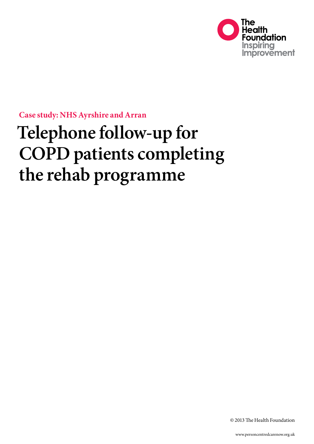

**Case study: NHS Ayrshire and Arran** 

# **Telephone follow-up for COPD patients completing the rehab programme**

© 2013 The Health Foundation

www.personcentredcarenow.org.uk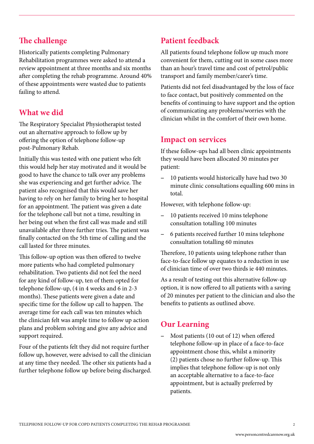## **The challenge**

Historically patients completing Pulmonary Rehabilitation programmes were asked to attend a review appointment at three months and six months after completing the rehab programme. Around 40% of these appointments were wasted due to patients failing to attend.

### **What we did**

The Respiratory Specialist Physiotherapist tested out an alternative approach to follow up by offering the option of telephone follow-up post-Pulmonary Rehab.

Initially this was tested with one patient who felt this would help her stay motivated and it would be good to have the chance to talk over any problems she was experiencing and get further advice. The patient also recognised that this would save her having to rely on her family to bring her to hospital for an appointment. The patient was given a date for the telephone call but not a time, resulting in her being out when the first call was made and still unavailable after three further tries. The patient was finally contacted on the 5th time of calling and the call lasted for three minutes.

This follow-up option was then offered to twelve more patients who had completed pulmonary rehabilitation. Two patients did not feel the need for any kind of follow-up, ten of them opted for telephone follow-up, (4 in 4 weeks and 6 in 2-3 months). These patients were given a date and specific time for the follow up call to happen. The average time for each call was ten minutes which the clinician felt was ample time to follow up action plans and problem solving and give any advice and support required.

Four of the patients felt they did not require further follow up, however, were advised to call the clinician at any time they needed. The other six patients had a further telephone follow up before being discharged.

# **Patient feedback**

All patients found telephone follow up much more convenient for them, cutting out in some cases more than an hour's travel time and cost of petrol/public transport and family member/carer's time.

Patients did not feel disadvantaged by the loss of face to face contact, but positively commented on the benefits of continuing to have support and the option of communicating any problems/worries with the clinician whilst in the comfort of their own home.

#### **Impact on services**

If these follow-ups had all been clinic appointments they would have been allocated 30 minutes per patient:

− 10 patients would historically have had two 30 minute clinic consultations equalling 600 mins in total.

However, with telephone follow-up:

- − 10 patients received 10 mins telephone consultation totalling 100 minutes
- − 6 patients received further 10 mins telephone consultation totalling 60 minutes

Therefore, 10 patients using telephone rather than face-to-face follow up equates to a reduction in use of clinician time of over two thirds ie 440 minutes.

As a result of testing out this alternative follow-up option, it is now offered to all patients with a saving of 20 minutes per patient to the clinician and also the benefits to patients as outlined above.

## **Our Learning**

− Most patients (10 out of 12) when offered telephone follow-up in place of a face-to-face appointment chose this, whilst a minority (2) patients chose no further follow-up. This implies that telephone follow-up is not only an acceptable alternative to a face-to-face appointment, but is actually preferred by patients.